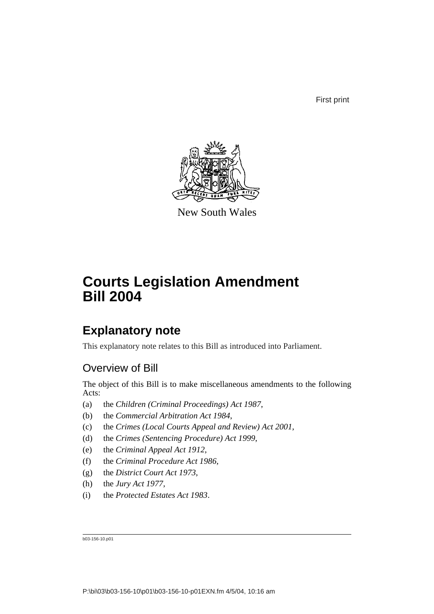First print



New South Wales

# **Courts Legislation Amendment Bill 2004**

# **Explanatory note**

This explanatory note relates to this Bill as introduced into Parliament.

# Overview of Bill

The object of this Bill is to make miscellaneous amendments to the following Acts:

- (a) the *Children (Criminal Proceedings) Act 1987*,
- (b) the *Commercial Arbitration Act 1984*,
- (c) the *Crimes (Local Courts Appeal and Review) Act 2001*,
- (d) the *Crimes (Sentencing Procedure) Act 1999*,
- (e) the *Criminal Appeal Act 1912*,
- (f) the *Criminal Procedure Act 1986*,
- (g) the *District Court Act 1973*,
- (h) the *Jury Act 1977*,
- (i) the *Protected Estates Act 1983*.

b03-156-10.p01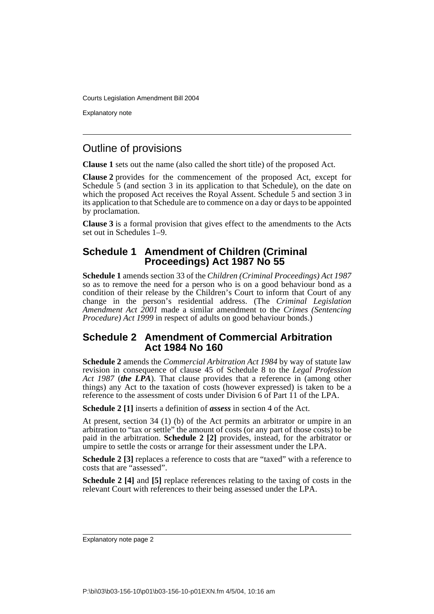Explanatory note

## Outline of provisions

**Clause 1** sets out the name (also called the short title) of the proposed Act.

**Clause 2** provides for the commencement of the proposed Act, except for Schedule  $\overline{5}$  (and section 3 in its application to that Schedule), on the date on which the proposed Act receives the Royal Assent. Schedule 5 and section 3 in its application to that Schedule are to commence on a day or days to be appointed by proclamation.

**Clause 3** is a formal provision that gives effect to the amendments to the Acts set out in Schedules  $\tilde{1}$ –9.

## **Schedule 1 Amendment of Children (Criminal Proceedings) Act 1987 No 55**

**Schedule 1** amends section 33 of the *Children (Criminal Proceedings) Act 1987* so as to remove the need for a person who is on a good behaviour bond as a condition of their release by the Children's Court to inform that Court of any change in the person's residential address. (The *Criminal Legislation Amendment Act 2001* made a similar amendment to the *Crimes (Sentencing Procedure) Act 1999* in respect of adults on good behaviour bonds.)

### **Schedule 2 Amendment of Commercial Arbitration Act 1984 No 160**

**Schedule 2** amends the *Commercial Arbitration Act 1984* by way of statute law revision in consequence of clause 45 of Schedule 8 to the *Legal Profession Act 1987* (*the LPA*). That clause provides that a reference in (among other things) any Act to the taxation of costs (however expressed) is taken to be a reference to the assessment of costs under Division 6 of Part 11 of the LPA.

**Schedule 2 [1]** inserts a definition of *assess* in section 4 of the Act.

At present, section 34 (1) (b) of the Act permits an arbitrator or umpire in an arbitration to "tax or settle" the amount of costs (or any part of those costs) to be paid in the arbitration. **Schedule 2 [2]** provides, instead, for the arbitrator or umpire to settle the costs or arrange for their assessment under the LPA.

**Schedule 2 [3]** replaces a reference to costs that are "taxed" with a reference to costs that are "assessed".

**Schedule 2 [4]** and **[5]** replace references relating to the taxing of costs in the relevant Court with references to their being assessed under the LPA.

Explanatory note page 2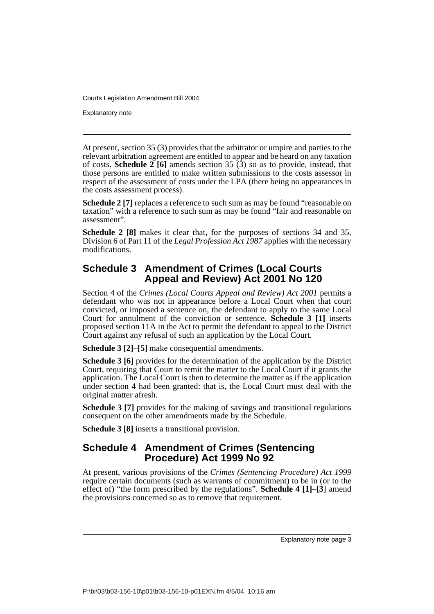Explanatory note

At present, section 35 (3) provides that the arbitrator or umpire and parties to the relevant arbitration agreement are entitled to appear and be heard on any taxation of costs. **Schedule 2** [6] amends section 35  $(\hat{3})$  so as to provide, instead, that those persons are entitled to make written submissions to the costs assessor in respect of the assessment of costs under the LPA (there being no appearances in the costs assessment process).

**Schedule 2** [7] replaces a reference to such sum as may be found "reasonable on taxation" with a reference to such sum as may be found "fair and reasonable on assessment".

**Schedule 2 [8]** makes it clear that, for the purposes of sections 34 and 35, Division 6 of Part 11 of the *Legal Profession Act 1987* applies with the necessary modifications.

## **Schedule 3 Amendment of Crimes (Local Courts Appeal and Review) Act 2001 No 120**

Section 4 of the *Crimes (Local Courts Appeal and Review) Act 2001* permits a defendant who was not in appearance before a Local Court when that court convicted, or imposed a sentence on, the defendant to apply to the same Local Court for annulment of the conviction or sentence. **Schedule 3 [1]** inserts proposed section 11A in the Act to permit the defendant to appeal to the District Court against any refusal of such an application by the Local Court.

**Schedule 3 [2]–[5]** make consequential amendments.

**Schedule 3 [6]** provides for the determination of the application by the District Court, requiring that Court to remit the matter to the Local Court if it grants the application. The Local Court is then to determine the matter as if the application under section 4 had been granted: that is, the Local Court must deal with the original matter afresh.

**Schedule 3** [7] provides for the making of savings and transitional regulations consequent on the other amendments made by the Schedule.

**Schedule 3 [8]** inserts a transitional provision.

#### **Schedule 4 Amendment of Crimes (Sentencing Procedure) Act 1999 No 92**

At present, various provisions of the *Crimes (Sentencing Procedure) Act 1999* require certain documents (such as warrants of commitment) to be in (or to the effect of) "the form prescribed by the regulations". **Schedule 4 [1]–[3**] amend the provisions concerned so as to remove that requirement.

Explanatory note page 3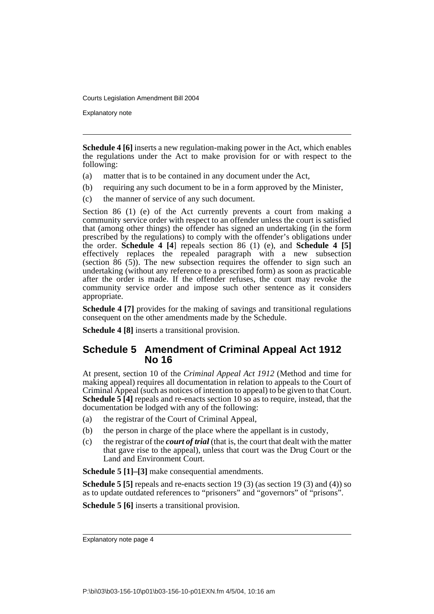Explanatory note

**Schedule 4 [6]** inserts a new regulation-making power in the Act, which enables the regulations under the Act to make provision for or with respect to the following:

- (a) matter that is to be contained in any document under the Act,
- (b) requiring any such document to be in a form approved by the Minister,
- (c) the manner of service of any such document.

Section 86 (1) (e) of the Act currently prevents a court from making a community service order with respect to an offender unless the court is satisfied that (among other things) the offender has signed an undertaking (in the form prescribed by the regulations) to comply with the offender's obligations under the order. **Schedule 4 [4**] repeals section 86 (1) (e), and **Schedule 4 [5]** effectively replaces the repealed paragraph with a new subsection (section 86 (5)). The new subsection requires the offender to sign such an undertaking (without any reference to a prescribed form) as soon as practicable after the order is made. If the offender refuses, the court may revoke the community service order and impose such other sentence as it considers appropriate.

**Schedule 4** [7] provides for the making of savings and transitional regulations consequent on the other amendments made by the Schedule.

**Schedule 4 [8]** inserts a transitional provision.

## **Schedule 5 Amendment of Criminal Appeal Act 1912 No 16**

At present, section 10 of the *Criminal Appeal Act 1912* (Method and time for making appeal) requires all documentation in relation to appeals to the Court of Criminal Appeal (such as notices of intention to appeal) to be given to that Court. **Schedule 5 [4]** repeals and re-enacts section 10 so as to require, instead, that the documentation be lodged with any of the following:

- (a) the registrar of the Court of Criminal Appeal,
- (b) the person in charge of the place where the appellant is in custody,
- (c) the registrar of the *court of trial* (that is, the court that dealt with the matter that gave rise to the appeal), unless that court was the Drug Court or the Land and Environment Court.

**Schedule 5 [1]–[3]** make consequential amendments.

**Schedule 5 [5]** repeals and re-enacts section 19 (3) (as section 19 (3) and (4)) so as to update outdated references to "prisoners" and "governors" of "prisons".

**Schedule 5 [6]** inserts a transitional provision.

Explanatory note page 4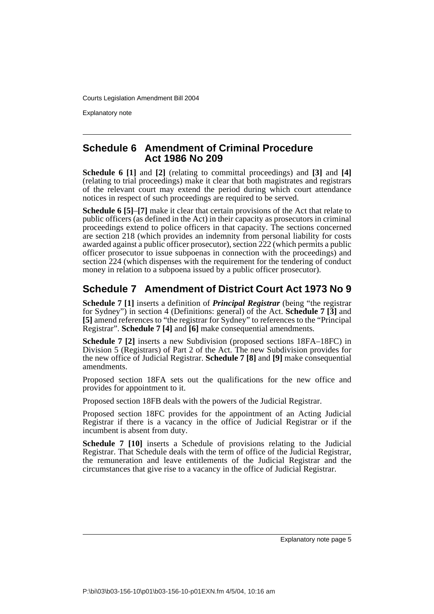Explanatory note

### **Schedule 6 Amendment of Criminal Procedure Act 1986 No 209**

**Schedule 6 [1]** and **[2]** (relating to committal proceedings) and **[3]** and **[4]** (relating to trial proceedings) make it clear that both magistrates and registrars of the relevant court may extend the period during which court attendance notices in respect of such proceedings are required to be served.

**Schedule 6 [5]**–**[7]** make it clear that certain provisions of the Act that relate to public officers (as defined in the Act) in their capacity as prosecutors in criminal proceedings extend to police officers in that capacity. The sections concerned are section 218 (which provides an indemnity from personal liability for costs awarded against a public officer prosecutor), section 222 (which permits a public officer prosecutor to issue subpoenas in connection with the proceedings) and section 224 (which dispenses with the requirement for the tendering of conduct money in relation to a subpoena issued by a public officer prosecutor).

# **Schedule 7 Amendment of District Court Act 1973 No 9**

**Schedule 7 [1]** inserts a definition of *Principal Registrar* (being "the registrar for Sydney") in section 4 (Definitions: general) of the Act. **Schedule 7 [3]** and **[5]** amend references to "the registrar for Sydney" to references to the "Principal Registrar". **Schedule 7 [4]** and **[6]** make consequential amendments.

**Schedule 7 [2]** inserts a new Subdivision (proposed sections 18FA–18FC) in Division 5 (Registrars) of Part 2 of the Act. The new Subdivision provides for the new office of Judicial Registrar. **Schedule 7 [8]** and **[9]** make consequential amendments.

Proposed section 18FA sets out the qualifications for the new office and provides for appointment to it.

Proposed section 18FB deals with the powers of the Judicial Registrar.

Proposed section 18FC provides for the appointment of an Acting Judicial Registrar if there is a vacancy in the office of Judicial Registrar or if the incumbent is absent from duty.

**Schedule 7 [10]** inserts a Schedule of provisions relating to the Judicial Registrar. That Schedule deals with the term of office of the Judicial Registrar, the remuneration and leave entitlements of the Judicial Registrar and the circumstances that give rise to a vacancy in the office of Judicial Registrar.

Explanatory note page 5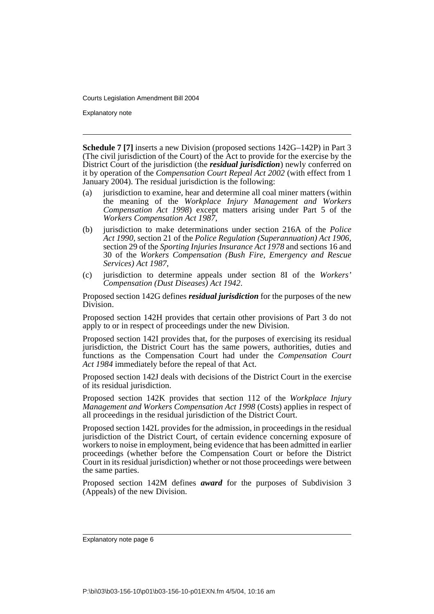Explanatory note

**Schedule 7 [7]** inserts a new Division (proposed sections 142G–142P) in Part 3 (The civil jurisdiction of the Court) of the Act to provide for the exercise by the District Court of the jurisdiction (the *residual jurisdiction*) newly conferred on it by operation of the *Compensation Court Repeal Act 2002* (with effect from 1 January 2004). The residual jurisdiction is the following:

- (a) jurisdiction to examine, hear and determine all coal miner matters (within the meaning of the *Workplace Injury Management and Workers Compensation Act 1998*) except matters arising under Part 5 of the *Workers Compensation Act 1987*,
- (b) jurisdiction to make determinations under section 216A of the *Police Act 1990*, section 21 of the *Police Regulation (Superannuation) Act 1906*, section 29 of the *Sporting Injuries Insurance Act 1978* and sections 16 and 30 of the *Workers Compensation (Bush Fire, Emergency and Rescue Services) Act 1987*,
- (c) jurisdiction to determine appeals under section 8I of the *Workers' Compensation (Dust Diseases) Act 1942*.

Proposed section 142G defines *residual jurisdiction* for the purposes of the new Division.

Proposed section 142H provides that certain other provisions of Part 3 do not apply to or in respect of proceedings under the new Division.

Proposed section 142I provides that, for the purposes of exercising its residual jurisdiction, the District Court has the same powers, authorities, duties and functions as the Compensation Court had under the *Compensation Court Act 1984* immediately before the repeal of that Act.

Proposed section 142J deals with decisions of the District Court in the exercise of its residual jurisdiction.

Proposed section 142K provides that section 112 of the *Workplace Injury Management and Workers Compensation Act 1998* (Costs) applies in respect of all proceedings in the residual jurisdiction of the District Court.

Proposed section 142L provides for the admission, in proceedings in the residual jurisdiction of the District Court, of certain evidence concerning exposure of workers to noise in employment, being evidence that has been admitted in earlier proceedings (whether before the Compensation Court or before the District Court in its residual jurisdiction) whether or not those proceedings were between the same parties.

Proposed section 142M defines *award* for the purposes of Subdivision 3 (Appeals) of the new Division.

Explanatory note page 6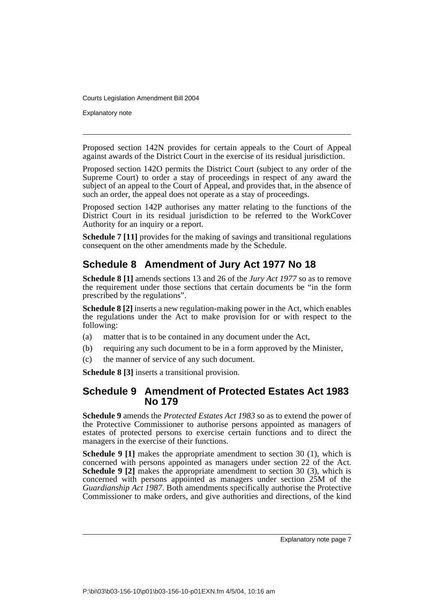Explanatory note

Proposed section 142N provides for certain appeals to the Court of Appeal against awards of the District Court in the exercise of its residual jurisdiction.

Proposed section 142O permits the District Court (subject to any order of the Supreme Court) to order a stay of proceedings in respect of any award the subject of an appeal to the Court of Appeal, and provides that, in the absence of such an order, the appeal does not operate as a stay of proceedings.

Proposed section 142P authorises any matter relating to the functions of the District Court in its residual jurisdiction to be referred to the WorkCover Authority for an inquiry or a report.

**Schedule 7** [11] provides for the making of savings and transitional regulations consequent on the other amendments made by the Schedule.

# **Schedule 8 Amendment of Jury Act 1977 No 18**

**Schedule 8 [1]** amends sections 13 and 26 of the *Jury Act 1977* so as to remove the requirement under those sections that certain documents be "in the form prescribed by the regulations".

**Schedule 8 [2]** inserts a new regulation-making power in the Act, which enables the regulations under the Act to make provision for or with respect to the following:

- (a) matter that is to be contained in any document under the Act,
- (b) requiring any such document to be in a form approved by the Minister,
- (c) the manner of service of any such document.

**Schedule 8 [3]** inserts a transitional provision.

#### **Schedule 9 Amendment of Protected Estates Act 1983 No 179**

**Schedule 9** amends the *Protected Estates Act 1983* so as to extend the power of the Protective Commissioner to authorise persons appointed as managers of estates of protected persons to exercise certain functions and to direct the managers in the exercise of their functions.

**Schedule 9 [1]** makes the appropriate amendment to section 30 (1), which is concerned with persons appointed as managers under section 22 of the Act. **Schedule 9 [2]** makes the appropriate amendment to section 30 (3), which is concerned with persons appointed as managers under section 25M of the *Guardianship Act 1987*. Both amendments specifically authorise the Protective Commissioner to make orders, and give authorities and directions, of the kind

Explanatory note page 7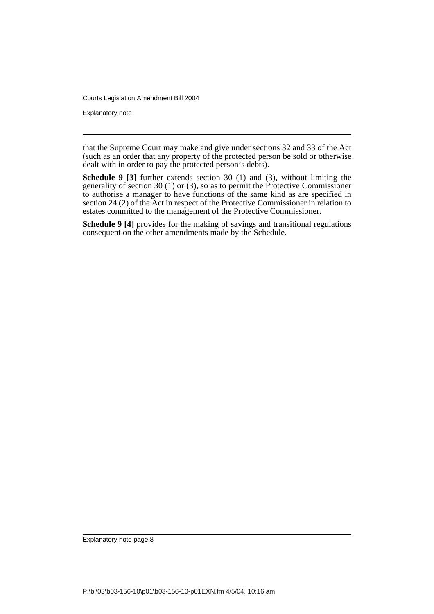Explanatory note

that the Supreme Court may make and give under sections 32 and 33 of the Act (such as an order that any property of the protected person be sold or otherwise dealt with in order to pay the protected person's debts).

**Schedule 9 [3]** further extends section 30 (1) and (3), without limiting the generality of section 30 (1) or (3), so as to permit the Protective Commissioner to authorise a manager to have functions of the same kind as are specified in section 24 (2) of the Act in respect of the Protective Commissioner in relation to estates committed to the management of the Protective Commissioner.

**Schedule 9 [4]** provides for the making of savings and transitional regulations consequent on the other amendments made by the Schedule.

Explanatory note page 8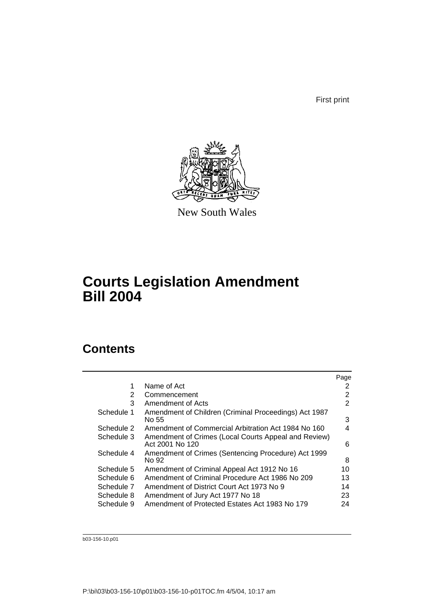First print



New South Wales

# **Courts Legislation Amendment Bill 2004**

# **Contents**

|            |                                                                         | Page |
|------------|-------------------------------------------------------------------------|------|
| 1          | Name of Act                                                             | 2    |
| 2          | Commencement                                                            | 2    |
| 3          | Amendment of Acts                                                       | 2    |
| Schedule 1 | Amendment of Children (Criminal Proceedings) Act 1987<br>No 55          | 3    |
| Schedule 2 | Amendment of Commercial Arbitration Act 1984 No 160                     | 4    |
| Schedule 3 | Amendment of Crimes (Local Courts Appeal and Review)<br>Act 2001 No 120 | 6    |
| Schedule 4 | Amendment of Crimes (Sentencing Procedure) Act 1999<br>No 92            | 8    |
| Schedule 5 | Amendment of Criminal Appeal Act 1912 No 16                             | 10   |
| Schedule 6 | Amendment of Criminal Procedure Act 1986 No 209                         | 13   |
| Schedule 7 | Amendment of District Court Act 1973 No 9                               | 14   |
| Schedule 8 | Amendment of Jury Act 1977 No 18                                        | 23   |
| Schedule 9 | Amendment of Protected Estates Act 1983 No 179                          | 24   |

b03-156-10.p01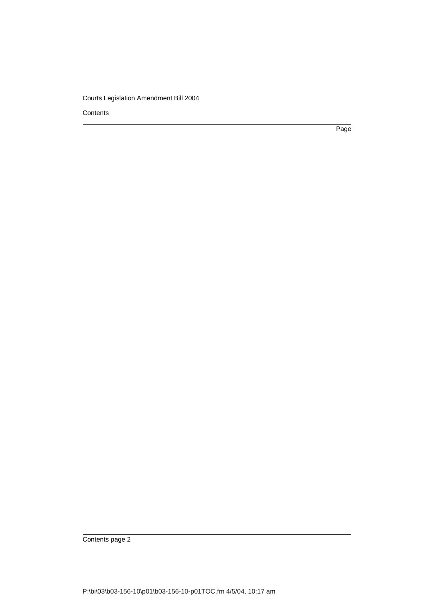**Contents** 

Page

Contents page 2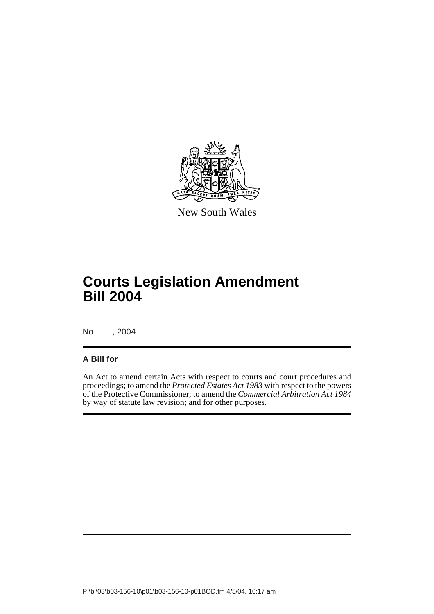

New South Wales

# **Courts Legislation Amendment Bill 2004**

No , 2004

#### **A Bill for**

An Act to amend certain Acts with respect to courts and court procedures and proceedings; to amend the *Protected Estates Act 1983* with respect to the powers of the Protective Commissioner; to amend the *Commercial Arbitration Act 1984* by way of statute law revision; and for other purposes.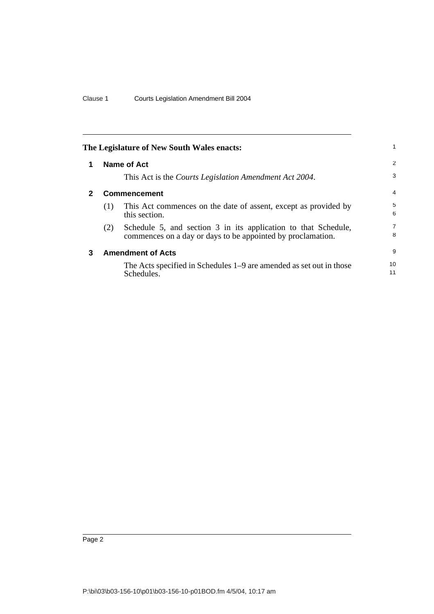<span id="page-11-2"></span><span id="page-11-1"></span><span id="page-11-0"></span>

|              |                     | The Legislature of New South Wales enacts:                                                                                    | 1        |
|--------------|---------------------|-------------------------------------------------------------------------------------------------------------------------------|----------|
| 1            |                     | Name of Act                                                                                                                   | 2        |
|              |                     | This Act is the <i>Courts Legislation Amendment Act 2004</i> .                                                                | 3        |
| $\mathbf{2}$ | <b>Commencement</b> |                                                                                                                               |          |
|              | (1)                 | This Act commences on the date of assent, except as provided by<br>this section.                                              | 5<br>6   |
|              | (2)                 | Schedule 5, and section 3 in its application to that Schedule,<br>commences on a day or days to be appointed by proclamation. | 7<br>8   |
| 3            |                     | <b>Amendment of Acts</b>                                                                                                      | 9        |
|              |                     | The Acts specified in Schedules 1–9 are amended as set out in those<br>Schedules.                                             | 10<br>11 |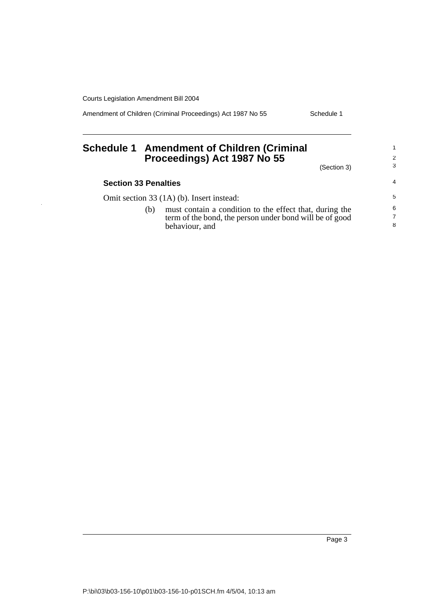Amendment of Children (Criminal Proceedings) Act 1987 No 55 Schedule 1

## <span id="page-12-0"></span>**Schedule 1 Amendment of Children (Criminal Proceedings) Act 1987 No 55**

(Section 3)

1 2 3

| <b>Section 33 Penalties</b> |                                                                                                                                      | $\overline{4}$           |
|-----------------------------|--------------------------------------------------------------------------------------------------------------------------------------|--------------------------|
|                             | Omit section 33 (1A) (b). Insert instead:                                                                                            | 5                        |
| (b)                         | must contain a condition to the effect that, during the<br>term of the bond, the person under bond will be of good<br>behaviour, and | 6<br>$\overline{7}$<br>8 |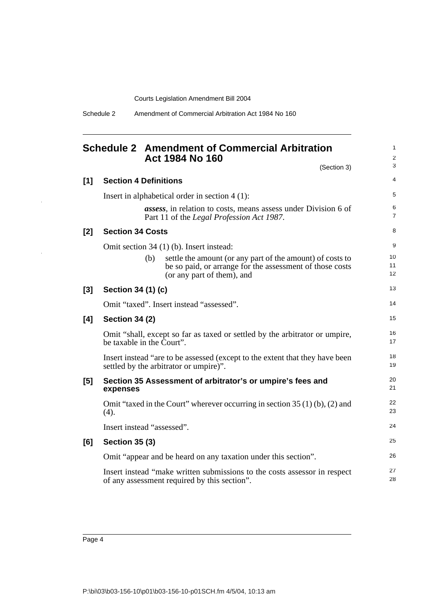## <span id="page-13-0"></span>**Schedule 2 Amendment of Commercial Arbitration Act 1984 No 160**

1 2

|       | (Section 3)                                                                                                                                                | 3                   |  |
|-------|------------------------------------------------------------------------------------------------------------------------------------------------------------|---------------------|--|
| [1]   | <b>Section 4 Definitions</b>                                                                                                                               | 4                   |  |
|       | Insert in alphabetical order in section $4(1)$ :                                                                                                           | 5                   |  |
|       | <i>assess</i> , in relation to costs, means assess under Division 6 of<br>Part 11 of the Legal Profession Act 1987.                                        | 6<br>$\overline{7}$ |  |
| [2]   | <b>Section 34 Costs</b>                                                                                                                                    | 8                   |  |
|       | Omit section 34 (1) (b). Insert instead:                                                                                                                   | 9                   |  |
|       | settle the amount (or any part of the amount) of costs to<br>(b)<br>be so paid, or arrange for the assessment of those costs<br>(or any part of them), and | 10<br>11<br>12      |  |
| $[3]$ | Section 34 (1) (c)                                                                                                                                         | 13                  |  |
|       | Omit "taxed". Insert instead "assessed".                                                                                                                   | 14                  |  |
| [4]   | <b>Section 34 (2)</b>                                                                                                                                      |                     |  |
|       | Omit "shall, except so far as taxed or settled by the arbitrator or umpire,<br>be taxable in the Court".                                                   | 16<br>17            |  |
|       | Insert instead "are to be assessed (except to the extent that they have been<br>settled by the arbitrator or umpire)".                                     |                     |  |
| [5]   | Section 35 Assessment of arbitrator's or umpire's fees and<br>expenses                                                                                     | 20<br>21            |  |
|       | Omit "taxed in the Court" wherever occurring in section $35(1)(b)$ , (2) and<br>(4).                                                                       | 22<br>23            |  |
|       | Insert instead "assessed".                                                                                                                                 | 24                  |  |
| [6]   | <b>Section 35 (3)</b>                                                                                                                                      | 25                  |  |
|       | Omit "appear and be heard on any taxation under this section".                                                                                             | 26                  |  |
|       | Insert instead "make written submissions to the costs assessor in respect<br>of any assessment required by this section".                                  | 27<br>28            |  |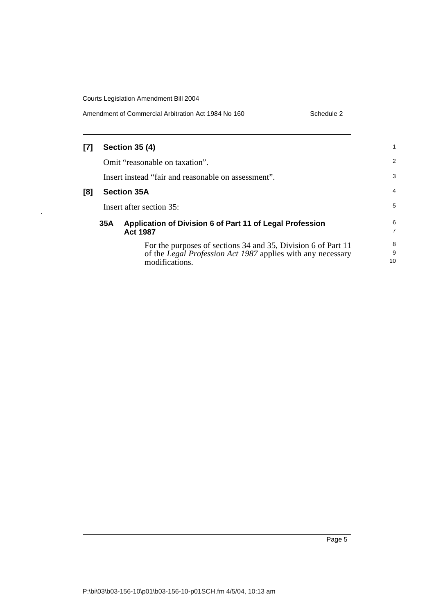$\hat{\mathcal{A}}$ 

| Amendment of Commercial Arbitration Act 1984 No 160<br>Schedule 2 |
|-------------------------------------------------------------------|
|-------------------------------------------------------------------|

| [7] |                          | <b>Section 35 (4)</b>                                                                                                                                 |                |
|-----|--------------------------|-------------------------------------------------------------------------------------------------------------------------------------------------------|----------------|
|     |                          | Omit "reasonable on taxation".                                                                                                                        | $\overline{2}$ |
|     |                          | Insert instead "fair and reasonable on assessment".                                                                                                   | 3              |
| [8] |                          | <b>Section 35A</b>                                                                                                                                    | 4              |
|     | Insert after section 35: |                                                                                                                                                       |                |
|     | 35A                      | Application of Division 6 of Part 11 of Legal Profession<br><b>Act 1987</b>                                                                           | 6<br>7         |
|     |                          | For the purposes of sections 34 and 35, Division 6 of Part 11<br>of the <i>Legal Profession Act 1987</i> applies with any necessary<br>modifications. | 8<br>9<br>10   |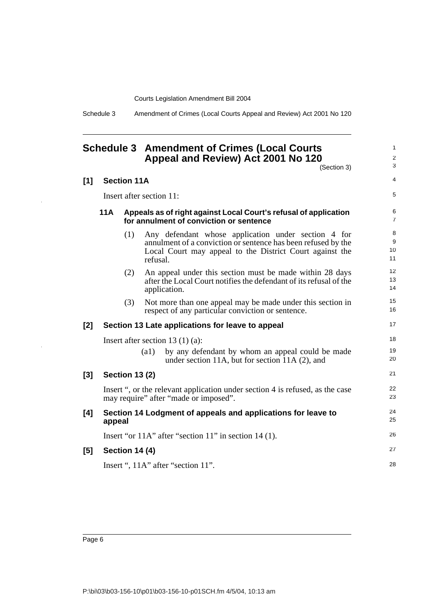Schedule 3 Amendment of Crimes (Local Courts Appeal and Review) Act 2001 No 120

#### <span id="page-15-0"></span>**Schedule 3 Amendment of Crimes (Local Courts Appeal and Review) Act 2001 No 120**

(Section 3)

1 2 3

| $[1]$ | <b>Section 11A</b>                 |                       |                    |                                                                                                                                                                                  | $\overline{4}$      |  |
|-------|------------------------------------|-----------------------|--------------------|----------------------------------------------------------------------------------------------------------------------------------------------------------------------------------|---------------------|--|
|       | Insert after section 11:           |                       |                    |                                                                                                                                                                                  |                     |  |
|       | 11A                                |                       |                    | Appeals as of right against Local Court's refusal of application<br>for annulment of conviction or sentence                                                                      | 6<br>$\overline{7}$ |  |
|       |                                    | (1)                   | refusal.           | Any defendant whose application under section 4 for<br>annulment of a conviction or sentence has been refused by the<br>Local Court may appeal to the District Court against the | 8<br>9<br>10<br>11  |  |
|       |                                    | (2)                   |                    | An appeal under this section must be made within 28 days<br>after the Local Court notifies the defendant of its refusal of the<br>application.                                   | 12<br>13<br>14      |  |
|       |                                    | (3)                   |                    | Not more than one appeal may be made under this section in<br>respect of any particular conviction or sentence.                                                                  | 15<br>16            |  |
| [2]   |                                    |                       |                    | Section 13 Late applications for leave to appeal                                                                                                                                 | 17                  |  |
|       | Insert after section 13 $(1)$ (a): |                       |                    |                                                                                                                                                                                  | 18                  |  |
|       |                                    |                       | $\left( a1\right)$ | by any defendant by whom an appeal could be made<br>under section 11A, but for section 11A $(2)$ , and                                                                           | 19<br>20            |  |
| [3]   |                                    | <b>Section 13 (2)</b> |                    |                                                                                                                                                                                  | 21                  |  |
|       |                                    |                       |                    | Insert ", or the relevant application under section 4 is refused, as the case<br>may require" after "made or imposed".                                                           | 22<br>23            |  |
| [4]   | appeal                             |                       |                    | Section 14 Lodgment of appeals and applications for leave to                                                                                                                     | 24<br>25            |  |
|       |                                    |                       |                    | Insert "or 11A" after "section 11" in section 14 (1).                                                                                                                            | 26                  |  |
| [5]   |                                    | <b>Section 14 (4)</b> |                    |                                                                                                                                                                                  | 27                  |  |
|       | Insert ", 11A" after "section 11". |                       |                    |                                                                                                                                                                                  |                     |  |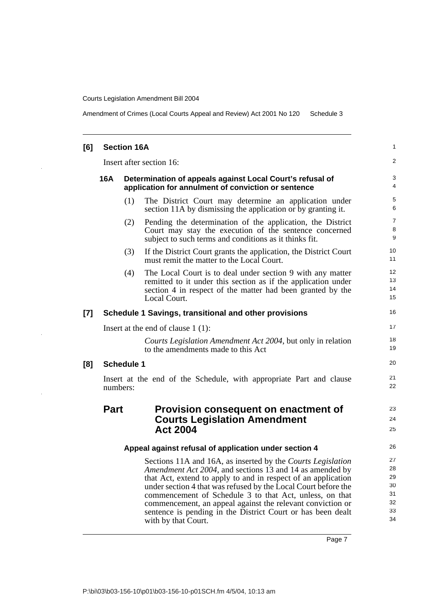Amendment of Crimes (Local Courts Appeal and Review) Act 2001 No 120 Schedule 3

| [6]   | <b>Section 16A</b>                                                                                                      |                   |                                                                                                                                                                                                                                                                                                                                                                                                                                                                           |                                              |  |
|-------|-------------------------------------------------------------------------------------------------------------------------|-------------------|---------------------------------------------------------------------------------------------------------------------------------------------------------------------------------------------------------------------------------------------------------------------------------------------------------------------------------------------------------------------------------------------------------------------------------------------------------------------------|----------------------------------------------|--|
|       | Insert after section 16:                                                                                                |                   |                                                                                                                                                                                                                                                                                                                                                                                                                                                                           |                                              |  |
|       | 16A<br>Determination of appeals against Local Court's refusal of<br>application for annulment of conviction or sentence |                   |                                                                                                                                                                                                                                                                                                                                                                                                                                                                           |                                              |  |
|       |                                                                                                                         | (1)               | The District Court may determine an application under<br>section 11A by dismissing the application or by granting it.                                                                                                                                                                                                                                                                                                                                                     | 5<br>6                                       |  |
|       |                                                                                                                         | (2)               | Pending the determination of the application, the District<br>Court may stay the execution of the sentence concerned<br>subject to such terms and conditions as it thinks fit.                                                                                                                                                                                                                                                                                            | $\overline{7}$<br>8<br>9                     |  |
|       |                                                                                                                         | (3)               | If the District Court grants the application, the District Court<br>must remit the matter to the Local Court.                                                                                                                                                                                                                                                                                                                                                             | 10<br>11                                     |  |
|       |                                                                                                                         | (4)               | The Local Court is to deal under section 9 with any matter<br>remitted to it under this section as if the application under<br>section 4 in respect of the matter had been granted by the<br>Local Court.                                                                                                                                                                                                                                                                 | 12 <sup>2</sup><br>13<br>14<br>15            |  |
| $[7]$ |                                                                                                                         |                   | Schedule 1 Savings, transitional and other provisions                                                                                                                                                                                                                                                                                                                                                                                                                     | 16                                           |  |
|       | Insert at the end of clause $1(1)$ :                                                                                    |                   |                                                                                                                                                                                                                                                                                                                                                                                                                                                                           |                                              |  |
|       |                                                                                                                         |                   | Courts Legislation Amendment Act 2004, but only in relation<br>to the amendments made to this Act                                                                                                                                                                                                                                                                                                                                                                         | 18<br>19                                     |  |
| [8]   |                                                                                                                         | <b>Schedule 1</b> |                                                                                                                                                                                                                                                                                                                                                                                                                                                                           | 20                                           |  |
|       |                                                                                                                         | numbers:          | Insert at the end of the Schedule, with appropriate Part and clause                                                                                                                                                                                                                                                                                                                                                                                                       | 21<br>22                                     |  |
|       | <b>Part</b>                                                                                                             |                   | Provision consequent on enactment of<br><b>Courts Legislation Amendment</b><br><b>Act 2004</b>                                                                                                                                                                                                                                                                                                                                                                            | 23<br>24<br>25                               |  |
|       | Appeal against refusal of application under section 4                                                                   |                   |                                                                                                                                                                                                                                                                                                                                                                                                                                                                           | 26                                           |  |
|       |                                                                                                                         |                   | Sections 11A and 16A, as inserted by the Courts Legislation<br>Amendment Act 2004, and sections 13 and 14 as amended by<br>that Act, extend to apply to and in respect of an application<br>under section 4 that was refused by the Local Court before the<br>commencement of Schedule 3 to that Act, unless, on that<br>commencement, an appeal against the relevant conviction or<br>sentence is pending in the District Court or has been dealt<br>with by that Court. | 27<br>28<br>29<br>30<br>31<br>32<br>33<br>34 |  |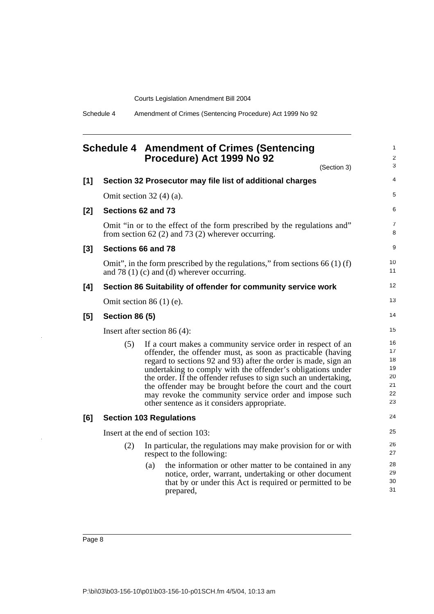Schedule 4 Amendment of Crimes (Sentencing Procedure) Act 1999 No 92

<span id="page-17-0"></span>

|       |                       | <b>Schedule 4 Amendment of Crimes (Sentencing</b><br>Procedure) Act 1999 No 92<br>(Section 3)                                                                                                                                                                                                                                                                                                                                                                                                         | 1<br>2<br>3                                  |
|-------|-----------------------|-------------------------------------------------------------------------------------------------------------------------------------------------------------------------------------------------------------------------------------------------------------------------------------------------------------------------------------------------------------------------------------------------------------------------------------------------------------------------------------------------------|----------------------------------------------|
| $[1]$ |                       | Section 32 Prosecutor may file list of additional charges                                                                                                                                                                                                                                                                                                                                                                                                                                             | $\overline{4}$                               |
|       |                       | Omit section $32(4)(a)$ .                                                                                                                                                                                                                                                                                                                                                                                                                                                                             | 5                                            |
| $[2]$ |                       | Sections 62 and 73                                                                                                                                                                                                                                                                                                                                                                                                                                                                                    | 6                                            |
|       |                       | Omit "in or to the effect of the form prescribed by the regulations and"<br>from section 62 $(2)$ and 73 $(2)$ wherever occurring.                                                                                                                                                                                                                                                                                                                                                                    | $\overline{7}$<br>8                          |
| $[3]$ |                       | Sections 66 and 78                                                                                                                                                                                                                                                                                                                                                                                                                                                                                    | 9                                            |
|       |                       | Omit", in the form prescribed by the regulations," from sections $66(1)(f)$<br>and 78 $(1)$ $(c)$ and $(d)$ wherever occurring.                                                                                                                                                                                                                                                                                                                                                                       | 10<br>11                                     |
| [4]   |                       | Section 86 Suitability of offender for community service work                                                                                                                                                                                                                                                                                                                                                                                                                                         | 12                                           |
|       |                       | Omit section $86(1)$ (e).                                                                                                                                                                                                                                                                                                                                                                                                                                                                             | 13                                           |
| [5]   | <b>Section 86 (5)</b> |                                                                                                                                                                                                                                                                                                                                                                                                                                                                                                       | 14                                           |
|       |                       | Insert after section 86 $(4)$ :                                                                                                                                                                                                                                                                                                                                                                                                                                                                       | 15                                           |
|       | (5)                   | If a court makes a community service order in respect of an<br>offender, the offender must, as soon as practicable (having<br>regard to sections 92 and 93) after the order is made, sign an<br>undertaking to comply with the offender's obligations under<br>the order. If the offender refuses to sign such an undertaking,<br>the offender may be brought before the court and the court<br>may revoke the community service order and impose such<br>other sentence as it considers appropriate. | 16<br>17<br>18<br>19<br>20<br>21<br>22<br>23 |
| [6]   |                       | <b>Section 103 Regulations</b>                                                                                                                                                                                                                                                                                                                                                                                                                                                                        | 24                                           |
|       |                       | Insert at the end of section 103:                                                                                                                                                                                                                                                                                                                                                                                                                                                                     | 25                                           |
|       | (2)                   | In particular, the regulations may make provision for or with<br>respect to the following:                                                                                                                                                                                                                                                                                                                                                                                                            | 26<br>27                                     |
|       |                       | the information or other matter to be contained in any<br>(a)<br>notice, order, warrant, undertaking or other document<br>that by or under this Act is required or permitted to be<br>prepared,                                                                                                                                                                                                                                                                                                       | 28<br>29<br>30<br>31                         |

Page 8

J.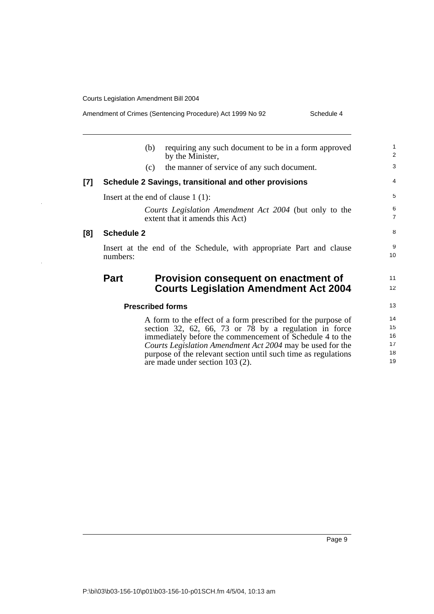**[8]** 

 $\hat{\boldsymbol{\beta}}$ 

Amendment of Crimes (Sentencing Procedure) Act 1999 No 92 Schedule 4

|     | (b)               | requiring any such document to be in a form approved<br>by the Minister,                                                                                                                                                                                                                                                                            | $\mathbf{1}$<br>2                |
|-----|-------------------|-----------------------------------------------------------------------------------------------------------------------------------------------------------------------------------------------------------------------------------------------------------------------------------------------------------------------------------------------------|----------------------------------|
|     | (c)               | the manner of service of any such document.                                                                                                                                                                                                                                                                                                         | 3                                |
| [7] |                   | Schedule 2 Savings, transitional and other provisions                                                                                                                                                                                                                                                                                               | $\overline{4}$                   |
|     |                   | Insert at the end of clause $1(1)$ :                                                                                                                                                                                                                                                                                                                | 5                                |
|     |                   | Courts Legislation Amendment Act 2004 (but only to the<br>extent that it amends this Act)                                                                                                                                                                                                                                                           | 6<br>$\overline{7}$              |
| [8] | <b>Schedule 2</b> |                                                                                                                                                                                                                                                                                                                                                     | 8                                |
|     | numbers:          | Insert at the end of the Schedule, with appropriate Part and clause                                                                                                                                                                                                                                                                                 | 9<br>10                          |
|     | <b>Part</b>       | Provision consequent on enactment of<br><b>Courts Legislation Amendment Act 2004</b>                                                                                                                                                                                                                                                                | 11<br>12                         |
|     |                   | <b>Prescribed forms</b>                                                                                                                                                                                                                                                                                                                             | 13                               |
|     |                   | A form to the effect of a form prescribed for the purpose of<br>section 32, 62, 66, 73 or 78 by a regulation in force<br>immediately before the commencement of Schedule 4 to the<br>Courts Legislation Amendment Act 2004 may be used for the<br>purpose of the relevant section until such time as regulations<br>are made under section 103 (2). | 14<br>15<br>16<br>17<br>18<br>19 |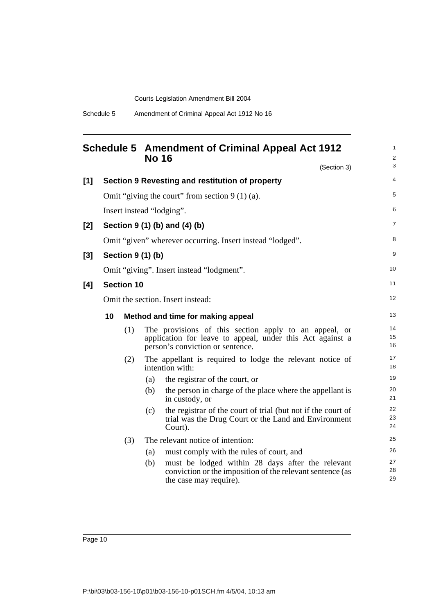<span id="page-19-0"></span>

| <b>No 16</b> |                                   |                                   |                   | <b>Schedule 5 Amendment of Criminal Appeal Act 1912</b>                                                                                                |                |
|--------------|-----------------------------------|-----------------------------------|-------------------|--------------------------------------------------------------------------------------------------------------------------------------------------------|----------------|
|              |                                   |                                   |                   | (Section 3)                                                                                                                                            | 3              |
| [1]          |                                   |                                   |                   | Section 9 Revesting and restitution of property                                                                                                        | 4              |
|              |                                   |                                   |                   | Omit "giving the court" from section $9(1)(a)$ .                                                                                                       | 5              |
|              |                                   |                                   |                   | Insert instead "lodging".                                                                                                                              | 6              |
| $[2]$        |                                   |                                   |                   | Section 9 (1) (b) and (4) (b)                                                                                                                          | 7              |
|              |                                   |                                   |                   | Omit "given" wherever occurring. Insert instead "lodged".                                                                                              | 8              |
| $[3]$        |                                   |                                   | Section 9 (1) (b) |                                                                                                                                                        | 9              |
|              |                                   |                                   |                   | Omit "giving". Insert instead "lodgment".                                                                                                              | 10             |
| [4]          |                                   | <b>Section 10</b>                 |                   |                                                                                                                                                        | 11             |
|              | Omit the section. Insert instead: |                                   |                   |                                                                                                                                                        | 12             |
|              | 10                                | Method and time for making appeal |                   |                                                                                                                                                        | 13             |
|              |                                   | (1)                               |                   | The provisions of this section apply to an appeal, or<br>application for leave to appeal, under this Act against a<br>person's conviction or sentence. | 14<br>15<br>16 |
|              |                                   | (2)                               |                   | The appellant is required to lodge the relevant notice of<br>intention with:                                                                           | 17<br>18       |
|              |                                   |                                   | (a)               | the registrar of the court, or                                                                                                                         | 19             |
|              |                                   |                                   | (b)               | the person in charge of the place where the appellant is<br>in custody, or                                                                             | 20<br>21       |
|              |                                   |                                   | (c)               | the registrar of the court of trial (but not if the court of<br>trial was the Drug Court or the Land and Environment<br>Court).                        | 22<br>23<br>24 |
|              |                                   | (3)                               |                   | The relevant notice of intention:                                                                                                                      | 25             |
|              |                                   |                                   | (a)               | must comply with the rules of court, and                                                                                                               | 26             |
|              |                                   |                                   | (b)               | must be lodged within 28 days after the relevant<br>conviction or the imposition of the relevant sentence (as<br>the case may require).                | 27<br>28<br>29 |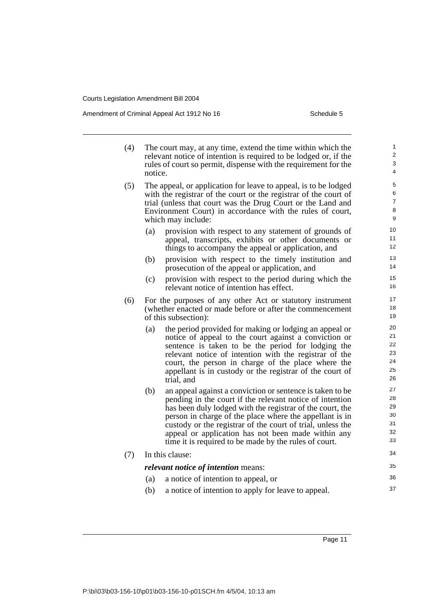Amendment of Criminal Appeal Act 1912 No 16 Schedule 5 Schedule 5

- (4) The court may, at any time, extend the time within which the relevant notice of intention is required to be lodged or, if the rules of court so permit, dispense with the requirement for the notice.
- (5) The appeal, or application for leave to appeal, is to be lodged with the registrar of the court or the registrar of the court of trial (unless that court was the Drug Court or the Land and Environment Court) in accordance with the rules of court, which may include:
	- (a) provision with respect to any statement of grounds of appeal, transcripts, exhibits or other documents or things to accompany the appeal or application, and
	- (b) provision with respect to the timely institution and prosecution of the appeal or application, and
	- (c) provision with respect to the period during which the relevant notice of intention has effect.
- (6) For the purposes of any other Act or statutory instrument (whether enacted or made before or after the commencement of this subsection):
	- (a) the period provided for making or lodging an appeal or notice of appeal to the court against a conviction or sentence is taken to be the period for lodging the relevant notice of intention with the registrar of the court, the person in charge of the place where the appellant is in custody or the registrar of the court of trial, and
	- (b) an appeal against a conviction or sentence is taken to be pending in the court if the relevant notice of intention has been duly lodged with the registrar of the court, the person in charge of the place where the appellant is in custody or the registrar of the court of trial, unless the appeal or application has not been made within any time it is required to be made by the rules of court.

|  | $(7)$ In this clause:                      |                                                     |    |  |
|--|--------------------------------------------|-----------------------------------------------------|----|--|
|  | <i>relevant notice of intention means:</i> |                                                     |    |  |
|  | (a)                                        | a notice of intention to appeal, or                 | 36 |  |
|  | (h)                                        | a notice of intention to apply for leave to appeal. | 37 |  |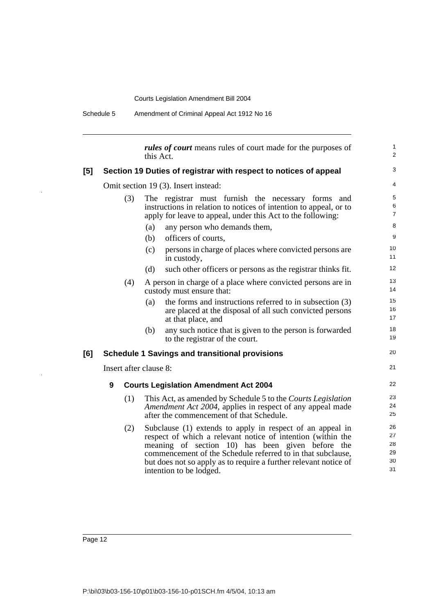Schedule 5 Amendment of Criminal Appeal Act 1912 No 16

*rules of court* means rules of court made for the purposes of this Act. **[5] Section 19 Duties of registrar with respect to notices of appeal** Omit section 19 (3). Insert instead: (3) The registrar must furnish the necessary forms and instructions in relation to notices of intention to appeal, or to apply for leave to appeal, under this Act to the following: (a) any person who demands them, (b) officers of courts, (c) persons in charge of places where convicted persons are in custody, (d) such other officers or persons as the registrar thinks fit. (4) A person in charge of a place where convicted persons are in custody must ensure that: (a) the forms and instructions referred to in subsection (3) are placed at the disposal of all such convicted persons at that place, and (b) any such notice that is given to the person is forwarded to the registrar of the court. **[6] Schedule 1 Savings and transitional provisions** Insert after clause 8: **9 Courts Legislation Amendment Act 2004** (1) This Act, as amended by Schedule 5 to the *Courts Legislation Amendment Act 2004*, applies in respect of any appeal made after the commencement of that Schedule. (2) Subclause (1) extends to apply in respect of an appeal in respect of which a relevant notice of intention (within the meaning of section 10) has been given before the commencement of the Schedule referred to in that subclause, but does not so apply as to require a further relevant notice of intention to be lodged. 1  $\overline{2}$ 3 4 5 6 7 8 9 10 11 12 13 14 15 16 17 18 19 20 21 22 23 24 25 26 27 28 29 30 31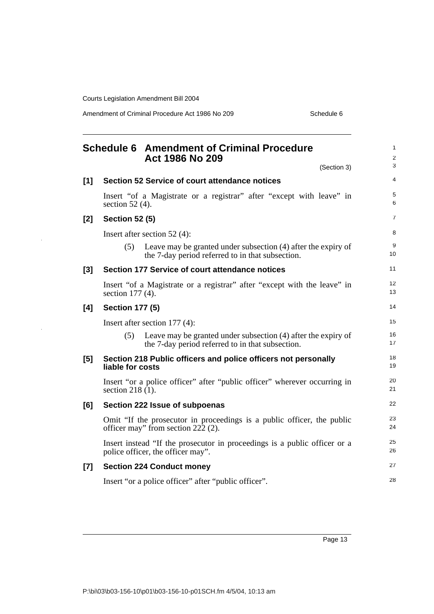Amendment of Criminal Procedure Act 1986 No 209 Schedule 6

<span id="page-22-0"></span>

|       | <b>Schedule 6 Amendment of Criminal Procedure</b><br>Act 1986 No 209                                                      | (Section 3)                                                               | 1<br>$\overline{\mathbf{c}}$<br>3 |
|-------|---------------------------------------------------------------------------------------------------------------------------|---------------------------------------------------------------------------|-----------------------------------|
| [1]   | <b>Section 52 Service of court attendance notices</b>                                                                     |                                                                           | $\overline{4}$                    |
|       | Insert "of a Magistrate or a registrar" after "except with leave" in<br>section 52 $(4)$ .                                |                                                                           | 5<br>6                            |
| [2]   | <b>Section 52 (5)</b>                                                                                                     |                                                                           | $\overline{7}$                    |
|       | Insert after section $52(4)$ :                                                                                            |                                                                           | 8                                 |
|       | (5)<br>the 7-day period referred to in that subsection.                                                                   | Leave may be granted under subsection (4) after the expiry of             | 9<br>10                           |
| $[3]$ | Section 177 Service of court attendance notices                                                                           |                                                                           | 11                                |
|       | Insert "of a Magistrate or a registrar" after "except with the leave" in<br>section 177 (4).                              |                                                                           | 12<br>13                          |
| [4]   | <b>Section 177 (5)</b>                                                                                                    |                                                                           | 14                                |
|       | Insert after section 177 (4):                                                                                             |                                                                           | 15                                |
|       | (5)<br>the 7-day period referred to in that subsection.                                                                   | Leave may be granted under subsection (4) after the expiry of             | 16<br>17                          |
| [5]   | Section 218 Public officers and police officers not personally<br>liable for costs                                        |                                                                           | 18<br>19                          |
|       | Insert "or a police officer" after "public officer" wherever occurring in<br>section 218 (1).                             |                                                                           | 20<br>21                          |
| [6]   | Section 222 Issue of subpoenas                                                                                            |                                                                           | 22                                |
|       | Omit "If the prosecutor in proceedings is a public officer, the public<br>officer may" from section $22\overline{2}$ (2). |                                                                           | 23<br>24                          |
|       | police officer, the officer may".                                                                                         | Insert instead "If the prosecutor in proceedings is a public officer or a | 25<br>26                          |
| $[7]$ | <b>Section 224 Conduct money</b>                                                                                          |                                                                           | 27                                |
|       | Insert "or a police officer" after "public officer".                                                                      |                                                                           | 28                                |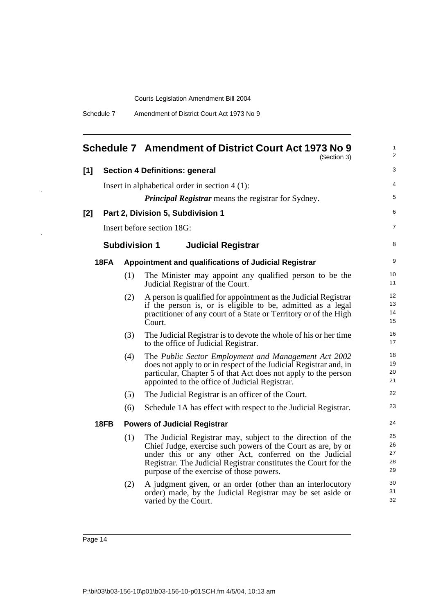Schedule 7 Amendment of District Court Act 1973 No 9

<span id="page-23-0"></span>

|       |                                                            |                      | Schedule 7 Amendment of District Court Act 1973 No 9<br>(Section 3)                                                                                                                                                                                                                                  | $\mathbf{1}$<br>2          |  |  |  |
|-------|------------------------------------------------------------|----------------------|------------------------------------------------------------------------------------------------------------------------------------------------------------------------------------------------------------------------------------------------------------------------------------------------------|----------------------------|--|--|--|
| [1]   |                                                            |                      | <b>Section 4 Definitions: general</b>                                                                                                                                                                                                                                                                | 3                          |  |  |  |
|       |                                                            |                      | Insert in alphabetical order in section $4(1)$ :                                                                                                                                                                                                                                                     | 4                          |  |  |  |
|       | <b>Principal Registrar</b> means the registrar for Sydney. |                      |                                                                                                                                                                                                                                                                                                      |                            |  |  |  |
| $[2]$ |                                                            |                      | Part 2, Division 5, Subdivision 1                                                                                                                                                                                                                                                                    | 6                          |  |  |  |
|       |                                                            |                      | Insert before section 18G:                                                                                                                                                                                                                                                                           | $\overline{7}$             |  |  |  |
|       |                                                            | <b>Subdivision 1</b> | <b>Judicial Registrar</b>                                                                                                                                                                                                                                                                            | 8                          |  |  |  |
|       | 18FA                                                       |                      | Appointment and qualifications of Judicial Registrar                                                                                                                                                                                                                                                 | 9                          |  |  |  |
|       |                                                            | (1)                  | The Minister may appoint any qualified person to be the<br>Judicial Registrar of the Court.                                                                                                                                                                                                          | 10<br>11                   |  |  |  |
|       |                                                            | (2)                  | A person is qualified for appointment as the Judicial Registrar<br>if the person is, or is eligible to be, admitted as a legal<br>practitioner of any court of a State or Territory or of the High<br>Court.                                                                                         | 12<br>13<br>14<br>15       |  |  |  |
|       |                                                            | (3)                  | The Judicial Registrar is to devote the whole of his or her time<br>to the office of Judicial Registrar.                                                                                                                                                                                             | 16<br>17                   |  |  |  |
|       |                                                            | (4)                  | The Public Sector Employment and Management Act 2002<br>does not apply to or in respect of the Judicial Registrar and, in<br>particular, Chapter 5 of that Act does not apply to the person<br>appointed to the office of Judicial Registrar.                                                        | 18<br>19<br>20<br>21       |  |  |  |
|       |                                                            | (5)                  | The Judicial Registrar is an officer of the Court.                                                                                                                                                                                                                                                   | 22                         |  |  |  |
|       |                                                            | (6)                  | Schedule 1A has effect with respect to the Judicial Registrar.                                                                                                                                                                                                                                       | 23                         |  |  |  |
|       | <b>18FB</b>                                                |                      | <b>Powers of Judicial Registrar</b>                                                                                                                                                                                                                                                                  | 24                         |  |  |  |
|       |                                                            | (1)                  | The Judicial Registrar may, subject to the direction of the<br>Chief Judge, exercise such powers of the Court as are, by or<br>under this or any other Act, conferred on the Judicial<br>Registrar. The Judicial Registrar constitutes the Court for the<br>purpose of the exercise of those powers. | 25<br>26<br>27<br>28<br>29 |  |  |  |
|       |                                                            | (2)                  | A judgment given, or an order (other than an interlocutory<br>order) made, by the Judicial Registrar may be set aside or<br>varied by the Court.                                                                                                                                                     | 30<br>31<br>32             |  |  |  |

Page 14

 $\bar{\mathcal{A}}$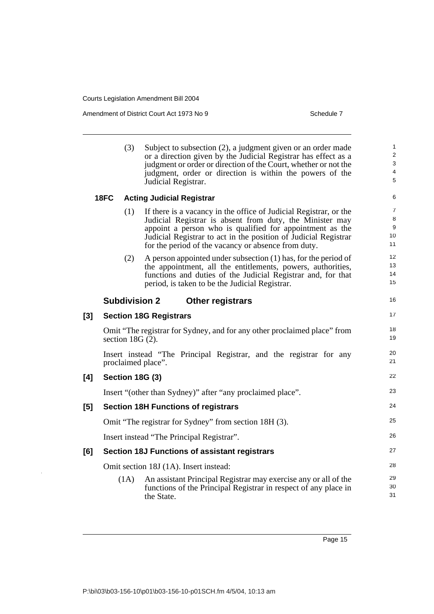Amendment of District Court Act 1973 No 9 Schedule 7

|     |      | (3)                | Subject to subsection (2), a judgment given or an order made<br>or a direction given by the Judicial Registrar has effect as a<br>judgment or order or direction of the Court, whether or not the<br>judgment, order or direction is within the powers of the<br>Judicial Registrar.                                | $\mathbf{1}$<br>$\overline{\mathbf{c}}$<br>3<br>4<br>5 |
|-----|------|--------------------|---------------------------------------------------------------------------------------------------------------------------------------------------------------------------------------------------------------------------------------------------------------------------------------------------------------------|--------------------------------------------------------|
|     | 18FC |                    | <b>Acting Judicial Registrar</b>                                                                                                                                                                                                                                                                                    | 6                                                      |
|     |      | (1)                | If there is a vacancy in the office of Judicial Registrar, or the<br>Judicial Registrar is absent from duty, the Minister may<br>appoint a person who is qualified for appointment as the<br>Judicial Registrar to act in the position of Judicial Registrar<br>for the period of the vacancy or absence from duty. | 7<br>8<br>9<br>10<br>11                                |
|     |      | (2)                | A person appointed under subsection $(1)$ has, for the period of<br>the appointment, all the entitlements, powers, authorities,<br>functions and duties of the Judicial Registrar and, for that<br>period, is taken to be the Judicial Registrar.                                                                   | 12<br>13<br>14<br>15                                   |
|     |      |                    | <b>Subdivision 2</b><br><b>Other registrars</b>                                                                                                                                                                                                                                                                     | 16                                                     |
| [3] |      |                    | <b>Section 18G Registrars</b>                                                                                                                                                                                                                                                                                       | 17                                                     |
|     |      | section $18G(2)$ . | Omit "The registrar for Sydney, and for any other proclaimed place" from                                                                                                                                                                                                                                            | 18<br>19                                               |
|     |      |                    | Insert instead "The Principal Registrar, and the registrar for any<br>proclaimed place".                                                                                                                                                                                                                            | 20<br>21                                               |
| [4] |      |                    | <b>Section 18G (3)</b>                                                                                                                                                                                                                                                                                              | 22                                                     |
|     |      |                    | Insert "(other than Sydney)" after "any proclaimed place".                                                                                                                                                                                                                                                          | 23                                                     |
| [5] |      |                    | <b>Section 18H Functions of registrars</b>                                                                                                                                                                                                                                                                          | 24                                                     |
|     |      |                    | Omit "The registrar for Sydney" from section 18H (3).                                                                                                                                                                                                                                                               | 25                                                     |
|     |      |                    | Insert instead "The Principal Registrar".                                                                                                                                                                                                                                                                           | 26                                                     |
| [6] |      |                    | <b>Section 18J Functions of assistant registrars</b>                                                                                                                                                                                                                                                                | 27                                                     |
|     |      |                    | Omit section 18J (1A). Insert instead:                                                                                                                                                                                                                                                                              | 28                                                     |
|     |      | (1A)               | An assistant Principal Registrar may exercise any or all of the<br>functions of the Principal Registrar in respect of any place in<br>the State.                                                                                                                                                                    | 29<br>30<br>31                                         |

Page 15

J.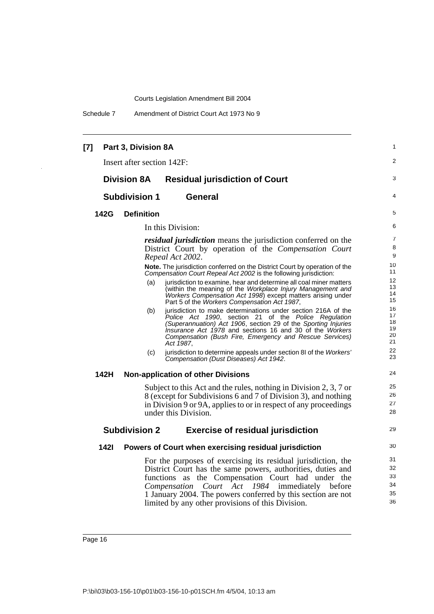Schedule 7 Amendment of District Court Act 1973 No 9

#### **[7] Part 3, Division 8A** Insert after section 142F: **Division 8A Residual jurisdiction of Court Subdivision 1 General 142G Definition** In this Division: *residual jurisdiction* means the jurisdiction conferred on the District Court by operation of the *Compensation Court Repeal Act 2002*. **Note.** The jurisdiction conferred on the District Court by operation of the *Compensation Court Repeal Act 2002* is the following jurisdiction: jurisdiction to examine, hear and determine all coal miner matters (within the meaning of the *Workplace Injury Management and Workers Compensation Act 1998*) except matters arising under Part 5 of the *Workers Compensation Act 1987*, (b) jurisdiction to make determinations under section 216A of the *Police Act 1990*, section 21 of the *Police Regulation (Superannuation) Act 1906*, section 29 of the *Sporting Injuries Insurance Act 1978* and sections 16 and 30 of the *Workers Compensation (Bush Fire, Emergency and Rescue Services) Act 1987*, (c) jurisdiction to determine appeals under section 8I of the *Workers' Compensation (Dust Diseases) Act 1942*. **142H Non-application of other Divisions** Subject to this Act and the rules, nothing in Division 2, 3, 7 or 8 (except for Subdivisions 6 and 7 of Division 3), and nothing in Division 9 or 9A, applies to or in respect of any proceedings under this Division. **Subdivision 2 Exercise of residual jurisdiction 142I Powers of Court when exercising residual jurisdiction** For the purposes of exercising its residual jurisdiction, the District Court has the same powers, authorities, duties and functions as the Compensation Court had under the *Compensation Court Act 1984* immediately before 1 January 2004. The powers conferred by this section are not limited by any other provisions of this Division. 1  $\mathfrak{p}$ 3 4 5 6 7 8 9 10 11 12 13 14 15 16 17 18 19 20 21 22 23 24 25 26 27 28 29 30 31 32 33 34 35 36

P:\bi\03\b03-156-10\p01\b03-156-10-p01SCH.fm 4/5/04, 10:13 am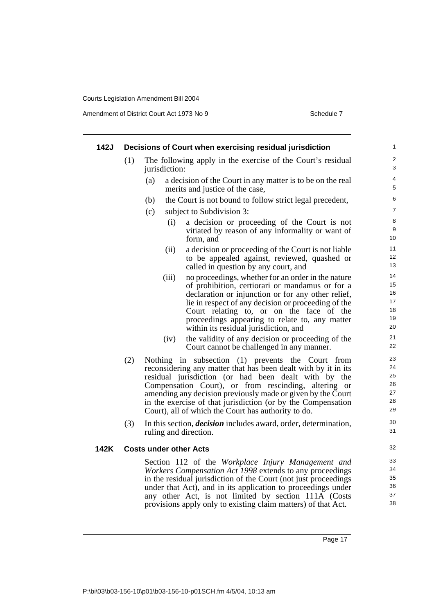Amendment of District Court Act 1973 No 9 Schedule 7

| 142J |     | Decisions of Court when exercising residual jurisdiction                                                                                            | $\mathbf{1}$   |
|------|-----|-----------------------------------------------------------------------------------------------------------------------------------------------------|----------------|
|      | (1) | The following apply in the exercise of the Court's residual<br>jurisdiction:                                                                        | 2<br>3         |
|      |     | a decision of the Court in any matter is to be on the real<br>(a)<br>merits and justice of the case,                                                | 4<br>5         |
|      |     | the Court is not bound to follow strict legal precedent,<br>(b)                                                                                     | 6              |
|      |     | (c)<br>subject to Subdivision 3:                                                                                                                    | $\overline{7}$ |
|      |     | (i)<br>a decision or proceeding of the Court is not<br>vitiated by reason of any informality or want of<br>form, and                                | 8<br>9<br>10   |
|      |     | (ii)<br>a decision or proceeding of the Court is not liable<br>to be appealed against, reviewed, quashed or<br>called in question by any court, and | 11<br>12<br>13 |
|      |     | (iii)<br>no proceedings, whether for an order in the nature                                                                                         | 14             |
|      |     | of prohibition, certiorari or mandamus or for a                                                                                                     | 15<br>16       |
|      |     | declaration or injunction or for any other relief,<br>lie in respect of any decision or proceeding of the                                           | 17             |
|      |     | Court relating to, or on the face of the                                                                                                            | 18             |
|      |     | proceedings appearing to relate to, any matter                                                                                                      | 19             |
|      |     | within its residual jurisdiction, and                                                                                                               | 20             |
|      |     | the validity of any decision or proceeding of the<br>(iv)<br>Court cannot be challenged in any manner.                                              | 21<br>22       |
|      | (2) | Nothing in subsection (1) prevents the Court from<br>reconsidering any matter that has been dealt with by it in its                                 | 23<br>24       |
|      |     | residual jurisdiction (or had been dealt with by the                                                                                                | 25<br>26       |
|      |     | Compensation Court), or from rescinding, altering or<br>amending any decision previously made or given by the Court                                 | 27             |
|      |     | in the exercise of that jurisdiction (or by the Compensation                                                                                        | 28             |
|      |     | Court), all of which the Court has authority to do.                                                                                                 | 29             |
|      | (3) | In this section, <i>decision</i> includes award, order, determination,<br>ruling and direction.                                                     | 30<br>31       |
| 142K |     | <b>Costs under other Acts</b>                                                                                                                       | 32             |
|      |     | Section 112 of the Workplace Injury Management and                                                                                                  | 33             |
|      |     | Workers Compensation Act 1998 extends to any proceedings                                                                                            | 34             |
|      |     | in the residual jurisdiction of the Court (not just proceedings)                                                                                    | 35<br>36       |
|      |     | under that Act), and in its application to proceedings under<br>any other Act, is not limited by section 111A (Costs                                | 37             |
|      |     | provisions apply only to existing claim matters) of that Act                                                                                        | 38             |

provisions apply only to existing claim matters) of that Act.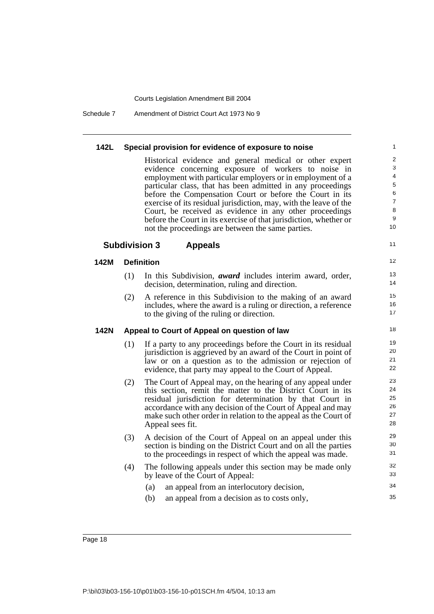Schedule 7 Amendment of District Court Act 1973 No 9

| 142L | Special provision for evidence of exposure to noise |  |
|------|-----------------------------------------------------|--|
|------|-----------------------------------------------------|--|

Historical evidence and general medical or other expert evidence concerning exposure of workers to noise in employment with particular employers or in employment of a particular class, that has been admitted in any proceedings before the Compensation Court or before the Court in its exercise of its residual jurisdiction, may, with the leave of the Court, be received as evidence in any other proceedings before the Court in its exercise of that jurisdiction, whether or not the proceedings are between the same parties.

11

#### **Subdivision 3 Appeals**

#### **142M Definition**

- (1) In this Subdivision, *award* includes interim award, order, decision, determination, ruling and direction.
- (2) A reference in this Subdivision to the making of an award includes, where the award is a ruling or direction, a reference to the giving of the ruling or direction.

#### **142N Appeal to Court of Appeal on question of law**

- (1) If a party to any proceedings before the Court in its residual jurisdiction is aggrieved by an award of the Court in point of law or on a question as to the admission or rejection of evidence, that party may appeal to the Court of Appeal.
- (2) The Court of Appeal may, on the hearing of any appeal under this section, remit the matter to the District Court in its residual jurisdiction for determination by that Court in accordance with any decision of the Court of Appeal and may make such other order in relation to the appeal as the Court of Appeal sees fit.
- (3) A decision of the Court of Appeal on an appeal under this section is binding on the District Court and on all the parties to the proceedings in respect of which the appeal was made.
- (4) The following appeals under this section may be made only by leave of the Court of Appeal:
	- (a) an appeal from an interlocutory decision,
	- (b) an appeal from a decision as to costs only,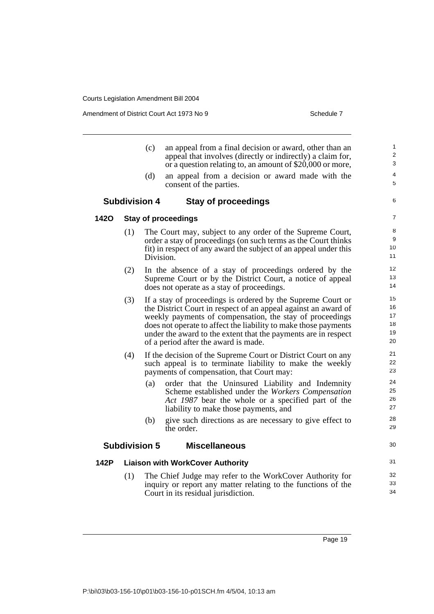**142O Stay of proceedings**

**142P Liaison with WorkCover Authority**

Amendment of District Court Act 1973 No 9 Schedule 7

|    |                      | (c)                  | an appeal from a final decision or award, other than an<br>appeal that involves (directly or indirectly) a claim for,<br>or a question relating to, an amount of \$20,000 or more,                                                                                                                                                                                             | 1<br>$\mathbf{2}$<br>3                 |
|----|----------------------|----------------------|--------------------------------------------------------------------------------------------------------------------------------------------------------------------------------------------------------------------------------------------------------------------------------------------------------------------------------------------------------------------------------|----------------------------------------|
|    |                      | (d)                  | an appeal from a decision or award made with the<br>consent of the parties.                                                                                                                                                                                                                                                                                                    | 4<br>5                                 |
|    | <b>Subdivision 4</b> |                      | <b>Stay of proceedings</b>                                                                                                                                                                                                                                                                                                                                                     | 6                                      |
| 20 |                      |                      | <b>Stay of proceedings</b>                                                                                                                                                                                                                                                                                                                                                     | $\overline{7}$                         |
|    | (1)                  | Division.            | The Court may, subject to any order of the Supreme Court,<br>order a stay of proceedings (on such terms as the Court thinks<br>fit) in respect of any award the subject of an appeal under this                                                                                                                                                                                | 8<br>9<br>10 <sup>1</sup><br>11        |
|    | (2)                  |                      | In the absence of a stay of proceedings ordered by the<br>Supreme Court or by the District Court, a notice of appeal<br>does not operate as a stay of proceedings.                                                                                                                                                                                                             | 12<br>13<br>14                         |
|    | (3)                  |                      | If a stay of proceedings is ordered by the Supreme Court or<br>the District Court in respect of an appeal against an award of<br>weekly payments of compensation, the stay of proceedings<br>does not operate to affect the liability to make those payments<br>under the award to the extent that the payments are in respect<br>of a period after the award is made.         | 15<br>16<br>17<br>18<br>19<br>20       |
|    | (4)                  | (a)                  | If the decision of the Supreme Court or District Court on any<br>such appeal is to terminate liability to make the weekly<br>payments of compensation, that Court may:<br>order that the Uninsured Liability and Indemnity<br>Scheme established under the Workers Compensation<br>Act 1987 bear the whole or a specified part of the<br>liability to make those payments, and | 21<br>22<br>23<br>24<br>25<br>26<br>27 |
|    |                      | (b)                  | give such directions as are necessary to give effect to<br>the order.                                                                                                                                                                                                                                                                                                          | 28<br>29                               |
|    |                      | <b>Subdivision 5</b> | <b>Miscellaneous</b>                                                                                                                                                                                                                                                                                                                                                           | 30                                     |
| 2P |                      |                      | <b>Liaison with WorkCover Authority</b>                                                                                                                                                                                                                                                                                                                                        | 31                                     |
|    | (1)                  |                      | The Chief Judge may refer to the WorkCover Authority for<br>inquiry or report any matter relating to the functions of the<br>Court in its residual jurisdiction.                                                                                                                                                                                                               | 32<br>33<br>34                         |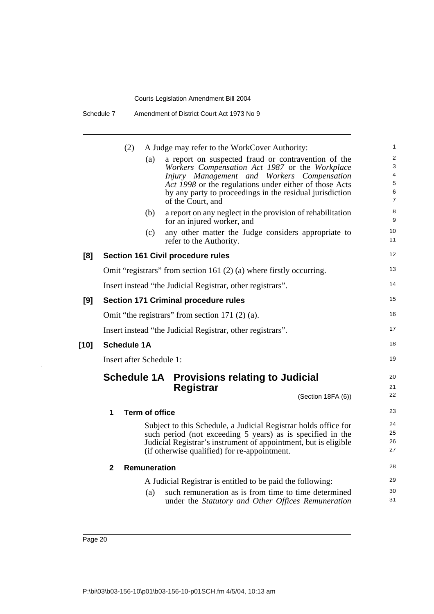Schedule 7 Amendment of District Court Act 1973 No 9

|        | (2)                      |                       | A Judge may refer to the WorkCover Authority:                                                                                                                                                                                                                                                  | 1                                                    |  |
|--------|--------------------------|-----------------------|------------------------------------------------------------------------------------------------------------------------------------------------------------------------------------------------------------------------------------------------------------------------------------------------|------------------------------------------------------|--|
|        |                          | (a)                   | a report on suspected fraud or contravention of the<br>Workers Compensation Act 1987 or the Workplace<br>Injury Management and Workers Compensation<br>Act 1998 or the regulations under either of those Acts<br>by any party to proceedings in the residual jurisdiction<br>of the Court, and | $\overline{c}$<br>3<br>4<br>5<br>6<br>$\overline{7}$ |  |
|        |                          | (b)                   | a report on any neglect in the provision of rehabilitation<br>for an injured worker, and                                                                                                                                                                                                       | 8<br>9                                               |  |
|        |                          | (c)                   | any other matter the Judge considers appropriate to<br>refer to the Authority.                                                                                                                                                                                                                 | 10<br>11                                             |  |
| [8]    |                          |                       | <b>Section 161 Civil procedure rules</b>                                                                                                                                                                                                                                                       | 12                                                   |  |
|        |                          |                       | Omit "registrars" from section 161 $(2)$ (a) where firstly occurring.                                                                                                                                                                                                                          | 13                                                   |  |
|        |                          |                       | Insert instead "the Judicial Registrar, other registrars".                                                                                                                                                                                                                                     | 14                                                   |  |
| [9]    |                          |                       | <b>Section 171 Criminal procedure rules</b>                                                                                                                                                                                                                                                    | 15                                                   |  |
|        |                          |                       | Omit "the registrars" from section 171 $(2)$ $(a)$ .                                                                                                                                                                                                                                           | 16                                                   |  |
|        |                          |                       | Insert instead "the Judicial Registrar, other registrars".                                                                                                                                                                                                                                     | 17                                                   |  |
| $[10]$ | <b>Schedule 1A</b>       |                       |                                                                                                                                                                                                                                                                                                |                                                      |  |
|        | Insert after Schedule 1: |                       |                                                                                                                                                                                                                                                                                                | 19                                                   |  |
|        |                          |                       | <b>Schedule 1A Provisions relating to Judicial</b><br>Registrar<br>(Section 18FA (6))                                                                                                                                                                                                          | 20<br>21<br>22                                       |  |
|        | 1                        | <b>Term of office</b> |                                                                                                                                                                                                                                                                                                | 23                                                   |  |
|        |                          |                       | Subject to this Schedule, a Judicial Registrar holds office for<br>such period (not exceeding 5 years) as is specified in the<br>Judicial Registrar's instrument of appointment, but is eligible<br>(if otherwise qualified) for re-appointment.                                               | 24<br>25<br>26<br>27                                 |  |
|        | $\mathbf{2}$             | <b>Remuneration</b>   |                                                                                                                                                                                                                                                                                                | 28                                                   |  |
|        |                          |                       | A Judicial Registrar is entitled to be paid the following:                                                                                                                                                                                                                                     | 29                                                   |  |
|        |                          | (a)                   | such remuneration as is from time to time determined<br>under the Statutory and Other Offices Remuneration                                                                                                                                                                                     | 30<br>31                                             |  |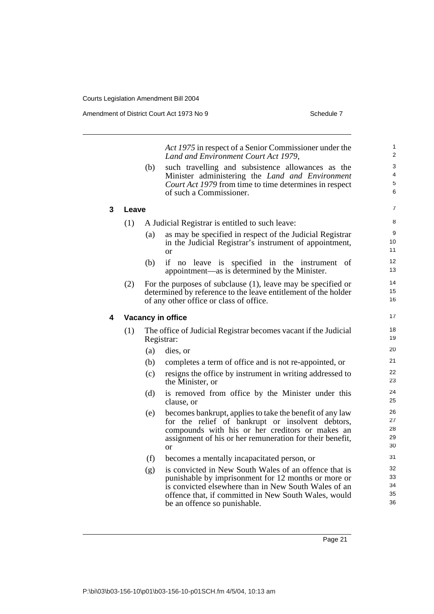Amendment of District Court Act 1973 No 9 Schedule 7

|   |       | (b) | Act 1975 in respect of a Senior Commissioner under the<br>Land and Environment Court Act 1979,<br>such travelling and subsistence allowances as the<br>Minister administering the Land and Environment<br>Court Act 1979 from time to time determines in respect<br>of such a Commissioner. | 1<br>2<br>3<br>4<br>5<br>6 |
|---|-------|-----|---------------------------------------------------------------------------------------------------------------------------------------------------------------------------------------------------------------------------------------------------------------------------------------------|----------------------------|
| 3 | Leave |     |                                                                                                                                                                                                                                                                                             | $\overline{7}$             |
|   | (1)   |     | A Judicial Registrar is entitled to such leave:                                                                                                                                                                                                                                             | 8                          |
|   |       | (a) | as may be specified in respect of the Judicial Registrar<br>in the Judicial Registrar's instrument of appointment,<br><sub>or</sub>                                                                                                                                                         | 9<br>10<br>11              |
|   |       | (b) | if no leave is specified in the instrument<br>of<br>appointment—as is determined by the Minister.                                                                                                                                                                                           | 12<br>13                   |
|   | (2)   |     | For the purposes of subclause $(1)$ , leave may be specified or<br>determined by reference to the leave entitlement of the holder<br>of any other office or class of office.                                                                                                                | 14<br>15<br>16             |
| 4 |       |     | Vacancy in office                                                                                                                                                                                                                                                                           | 17                         |
|   | (1)   |     | The office of Judicial Registrar becomes vacant if the Judicial<br>Registrar:                                                                                                                                                                                                               | 18<br>19                   |
|   |       | (a) | dies, or                                                                                                                                                                                                                                                                                    | 20                         |
|   |       | (b) | completes a term of office and is not re-appointed, or                                                                                                                                                                                                                                      | 21                         |
|   |       | (c) | resigns the office by instrument in writing addressed to<br>the Minister, or                                                                                                                                                                                                                | 22<br>23                   |
|   |       | (d) | is removed from office by the Minister under this<br>clause, or                                                                                                                                                                                                                             | 24<br>25                   |
|   |       | (e) | becomes bankrupt, applies to take the benefit of any law<br>for the relief of bankrupt or insolvent debtors,<br>compounds with his or her creditors or makes an<br>assignment of his or her remuneration for their benefit,<br><sub>or</sub>                                                | 26<br>27<br>28<br>29<br>30 |
|   |       | (f) | becomes a mentally incapacitated person, or                                                                                                                                                                                                                                                 | 31                         |
|   |       | (g) | is convicted in New South Wales of an offence that is<br>punishable by imprisonment for 12 months or more or<br>is convicted elsewhere than in New South Wales of an<br>offence that, if committed in New South Wales, would<br>be an offence so punishable.                                | 32<br>33<br>34<br>35<br>36 |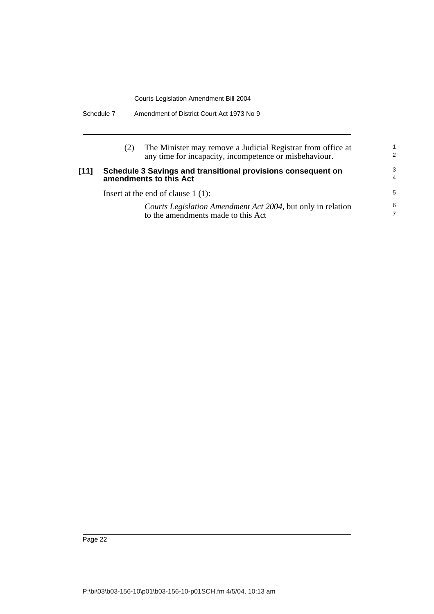| Schedule 7 | Amendment of District Court Act 1973 No 9 |
|------------|-------------------------------------------|
|------------|-------------------------------------------|

|      |                                                                                        | The Minister may remove a Judicial Registrar from office at<br>any time for incapacity, incompetence or misbehaviour. | $\overline{2}$      |
|------|----------------------------------------------------------------------------------------|-----------------------------------------------------------------------------------------------------------------------|---------------------|
| [11] | Schedule 3 Savings and transitional provisions consequent on<br>amendments to this Act |                                                                                                                       | 3<br>$\overline{4}$ |
|      |                                                                                        | Insert at the end of clause $1(1)$ :                                                                                  | 5                   |
|      |                                                                                        | Courts Legislation Amendment Act 2004, but only in relation<br>to the amendments made to this Act                     | 6                   |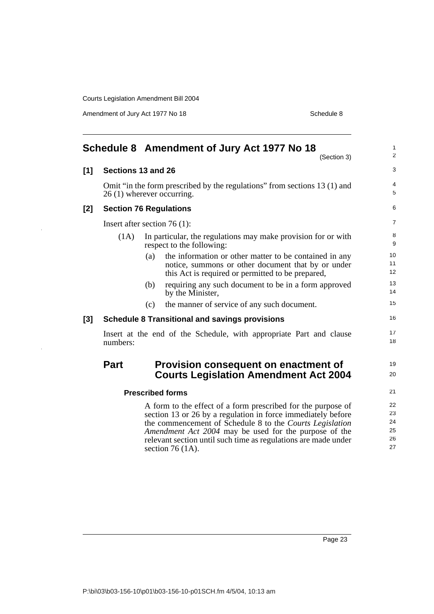Amendment of Jury Act 1977 No 18 Schedule 8

<span id="page-32-0"></span>

|       |                                 |     | Schedule 8 Amendment of Jury Act 1977 No 18<br>(Section 3)                                                                                                                                                                                                                                                                                 | 1<br>$\overline{c}$              |
|-------|---------------------------------|-----|--------------------------------------------------------------------------------------------------------------------------------------------------------------------------------------------------------------------------------------------------------------------------------------------------------------------------------------------|----------------------------------|
| [1]   | Sections 13 and 26              |     |                                                                                                                                                                                                                                                                                                                                            | 3                                |
|       | 26 (1) wherever occurring.      |     | Omit "in the form prescribed by the regulations" from sections 13 (1) and                                                                                                                                                                                                                                                                  | 4<br>5                           |
| [2]   | <b>Section 76 Regulations</b>   |     |                                                                                                                                                                                                                                                                                                                                            | 6                                |
|       | Insert after section 76 $(1)$ : |     |                                                                                                                                                                                                                                                                                                                                            | 7                                |
|       | (1A)                            |     | In particular, the regulations may make provision for or with<br>respect to the following:                                                                                                                                                                                                                                                 | 8<br>9                           |
|       |                                 | (a) | the information or other matter to be contained in any<br>notice, summons or other document that by or under<br>this Act is required or permitted to be prepared,                                                                                                                                                                          | 10<br>11<br>12                   |
|       |                                 | (b) | requiring any such document to be in a form approved<br>by the Minister,                                                                                                                                                                                                                                                                   | 13<br>14                         |
|       |                                 | (c) | the manner of service of any such document.                                                                                                                                                                                                                                                                                                | 15                               |
| $[3]$ |                                 |     | <b>Schedule 8 Transitional and savings provisions</b>                                                                                                                                                                                                                                                                                      | 16                               |
|       | numbers:                        |     | Insert at the end of the Schedule, with appropriate Part and clause                                                                                                                                                                                                                                                                        | 17<br>18                         |
|       | <b>Part</b>                     |     | Provision consequent on enactment of<br><b>Courts Legislation Amendment Act 2004</b>                                                                                                                                                                                                                                                       | 19<br>20                         |
|       |                                 |     | <b>Prescribed forms</b>                                                                                                                                                                                                                                                                                                                    | 21                               |
|       |                                 |     | A form to the effect of a form prescribed for the purpose of<br>section 13 or 26 by a regulation in force immediately before<br>the commencement of Schedule 8 to the Courts Legislation<br>Amendment Act 2004 may be used for the purpose of the<br>relevant section until such time as regulations are made under<br>section 76 $(1A)$ . | 22<br>23<br>24<br>25<br>26<br>27 |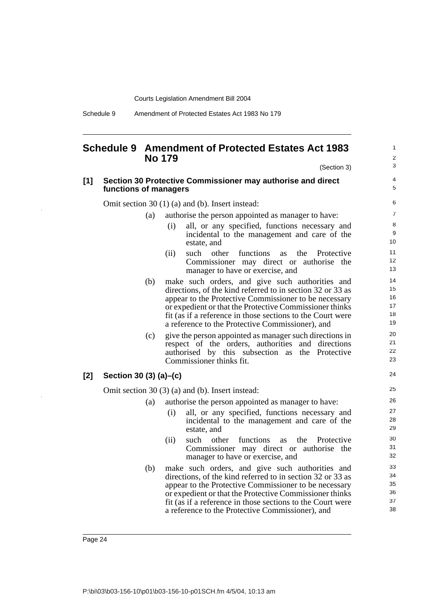Schedule 9 Amendment of Protected Estates Act 1983 No 179

#### <span id="page-33-0"></span>**Schedule 9 Amendment of Protected Estates Act 1983 No 179**

(Section 3)

24

#### **[1] Section 30 Protective Commissioner may authorise and direct functions of managers**

Omit section 30 (1) (a) and (b). Insert instead:

(a) authorise the person appointed as manager to have:

- (i) all, or any specified, functions necessary and incidental to the management and care of the estate, and
- (ii) such other functions as the Protective Commissioner may direct or authorise the manager to have or exercise, and
- (b) make such orders, and give such authorities and directions, of the kind referred to in section 32 or 33 as appear to the Protective Commissioner to be necessary or expedient or that the Protective Commissioner thinks fit (as if a reference in those sections to the Court were a reference to the Protective Commissioner), and
- (c) give the person appointed as manager such directions in respect of the orders, authorities and directions authorised by this subsection as the Protective Commissioner thinks fit.

#### **[2] Section 30 (3) (a)–(c)**

Omit section 30 (3) (a) and (b). Insert instead:

- (a) authorise the person appointed as manager to have:
	- (i) all, or any specified, functions necessary and incidental to the management and care of the estate, and
	- (ii) such other functions as the Protective Commissioner may direct or authorise the manager to have or exercise, and
- (b) make such orders, and give such authorities and directions, of the kind referred to in section 32 or 33 as appear to the Protective Commissioner to be necessary or expedient or that the Protective Commissioner thinks fit (as if a reference in those sections to the Court were a reference to the Protective Commissioner), and